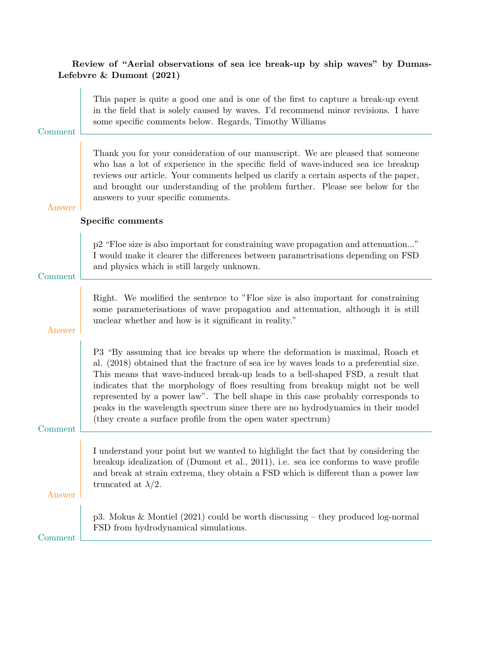# Review of "Aerial observations of sea ice break-up by ship waves" by Dumas-Lefebvre & Dumont (2021)

| Comment | This paper is quite a good one and is one of the first to capture a break-up event<br>in the field that is solely caused by waves. I'd recommend minor revisions. I have<br>some specific comments below. Regards, Timothy Williams                                                                                                                                                                                                                                                                                                                                                    |
|---------|----------------------------------------------------------------------------------------------------------------------------------------------------------------------------------------------------------------------------------------------------------------------------------------------------------------------------------------------------------------------------------------------------------------------------------------------------------------------------------------------------------------------------------------------------------------------------------------|
| Answer  | Thank you for your consideration of our manuscript. We are pleased that someone<br>who has a lot of experience in the specific field of wave-induced sea ice breakup<br>reviews our article. Your comments helped us clarify a certain aspects of the paper,<br>and brought our understanding of the problem further. Please see below for the<br>answers to your specific comments.                                                                                                                                                                                                   |
|         | Specific comments                                                                                                                                                                                                                                                                                                                                                                                                                                                                                                                                                                      |
| Comment | p2 "Floe size is also important for constraining wave propagation and attenuation"<br>I would make it clearer the differences between parametrisations depending on FSD<br>and physics which is still largely unknown.                                                                                                                                                                                                                                                                                                                                                                 |
| Answer  | Right. We modified the sentence to "Floe size is also important for constraining<br>some parameterisations of wave propagation and attenuation, although it is still<br>unclear whether and how is it significant in reality."                                                                                                                                                                                                                                                                                                                                                         |
| Comment | P3 "By assuming that ice breaks up where the deformation is maximal, Roach et<br>al. (2018) obtained that the fracture of sea ice by waves leads to a preferential size.<br>This means that wave-induced break-up leads to a bell-shaped FSD, a result that<br>indicates that the morphology of floes resulting from breakup might not be well<br>represented by a power law". The bell shape in this case probably corresponds to<br>peaks in the wavelength spectrum since there are no hydrodynamics in their model<br>(they create a surface profile from the open water spectrum) |
| Answer  | I understand your point but we wanted to highlight the fact that by considering the<br>breakup idealization of (Dumont et al., 2011), i.e. sea ice conforms to wave profile<br>and break at strain extrema, they obtain a FSD which is different than a power law<br>truncated at $\lambda/2$ .                                                                                                                                                                                                                                                                                        |
| Comment | p3. Mokus & Montiel $(2021)$ could be worth discussing – they produced log-normal<br>FSD from hydrodynamical simulations.                                                                                                                                                                                                                                                                                                                                                                                                                                                              |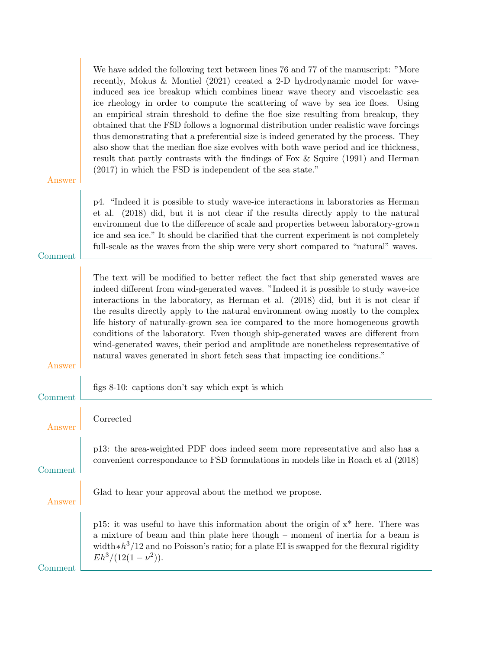|         | We have added the following text between lines 76 and 77 of the manuscript: "More<br>recently, Mokus & Montiel $(2021)$ created a 2-D hydrodynamic model for wave-<br>induced sea ice breakup which combines linear wave theory and viscoelastic sea<br>ice rheology in order to compute the scattering of wave by sea ice floes. Using<br>an empirical strain threshold to define the floe size resulting from breakup, they<br>obtained that the FSD follows a lognormal distribution under realistic wave forcings<br>thus demonstrating that a preferential size is indeed generated by the process. They<br>also show that the median floe size evolves with both wave period and ice thickness,<br>result that partly contrasts with the findings of Fox $\&$ Squire (1991) and Herman<br>$(2017)$ in which the FSD is independent of the sea state." |
|---------|-------------------------------------------------------------------------------------------------------------------------------------------------------------------------------------------------------------------------------------------------------------------------------------------------------------------------------------------------------------------------------------------------------------------------------------------------------------------------------------------------------------------------------------------------------------------------------------------------------------------------------------------------------------------------------------------------------------------------------------------------------------------------------------------------------------------------------------------------------------|
| Answer  |                                                                                                                                                                                                                                                                                                                                                                                                                                                                                                                                                                                                                                                                                                                                                                                                                                                             |
| Comment | p4. "Indeed it is possible to study wave-ice interactions in laboratories as Herman<br>et al. (2018) did, but it is not clear if the results directly apply to the natural<br>environment due to the difference of scale and properties between laboratory-grown<br>ice and sea ice." It should be clarified that the current experiment is not completely<br>full-scale as the waves from the ship were very short compared to "natural" waves.                                                                                                                                                                                                                                                                                                                                                                                                            |
| Answer  | The text will be modified to better reflect the fact that ship generated waves are<br>indeed different from wind-generated waves. "Indeed it is possible to study wave-ice<br>interactions in the laboratory, as Herman et al. (2018) did, but it is not clear if<br>the results directly apply to the natural environment owing mostly to the complex<br>life history of naturally-grown sea ice compared to the more homogeneous growth<br>conditions of the laboratory. Even though ship-generated waves are different from<br>wind-generated waves, their period and amplitude are nonetheless representative of<br>natural waves generated in short fetch seas that impacting ice conditions."                                                                                                                                                         |
| Comment | figs 8-10: captions don't say which expt is which                                                                                                                                                                                                                                                                                                                                                                                                                                                                                                                                                                                                                                                                                                                                                                                                           |
| Answer  | Corrected                                                                                                                                                                                                                                                                                                                                                                                                                                                                                                                                                                                                                                                                                                                                                                                                                                                   |
| Comment | p13: the area-weighted PDF does indeed seem more representative and also has a<br>convenient correspondance to FSD formulations in models like in Roach et al (2018)                                                                                                                                                                                                                                                                                                                                                                                                                                                                                                                                                                                                                                                                                        |
| Answer  | Glad to hear your approval about the method we propose.                                                                                                                                                                                                                                                                                                                                                                                                                                                                                                                                                                                                                                                                                                                                                                                                     |
| Comment | p15: it was useful to have this information about the origin of $x^*$ here. There was<br>a mixture of beam and thin plate here though – moment of inertia for a beam is<br>width $\ast h^3/12$ and no Poisson's ratio; for a plate EI is swapped for the flexural rigidity<br>$Eh^3/(12(1-\nu^2)).$                                                                                                                                                                                                                                                                                                                                                                                                                                                                                                                                                         |
|         |                                                                                                                                                                                                                                                                                                                                                                                                                                                                                                                                                                                                                                                                                                                                                                                                                                                             |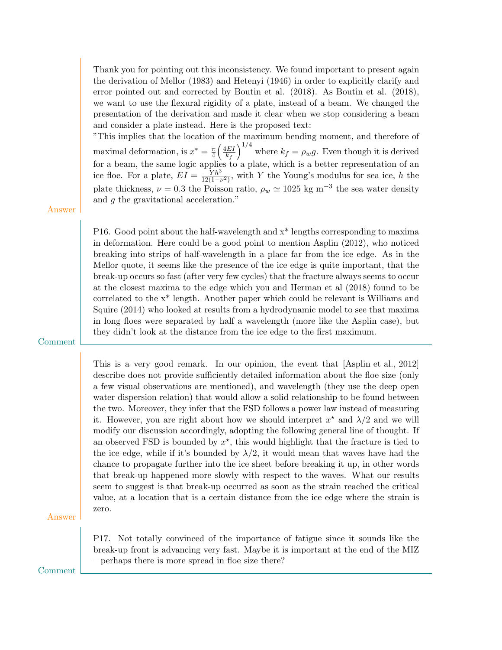Thank you for pointing out this inconsistency. We found important to present again the derivation of Mellor (1983) and Hetenyi (1946) in order to explicitly clarify and error pointed out and corrected by Boutin et al. (2018). As Boutin et al. (2018), we want to use the flexural rigidity of a plate, instead of a beam. We changed the presentation of the derivation and made it clear when we stop considering a beam and consider a plate instead. Here is the proposed text:

"This implies that the location of the maximum bending moment, and therefore of maximal deformation, is  $x^* = \frac{\pi}{4}$  $\frac{\pi}{4}\left(\frac{4EI}{k_f}\right)$  $k_f$  $\int_{0}^{1/4}$  where  $k_f = \rho_w g$ . Even though it is derived for a beam, the same logic applies to a plate, which is a better representation of an ice floe. For a plate,  $EI = \frac{Yh^3}{12(1 - h)}$  $\frac{Yh^3}{12(1-\nu^2)}$ , with Y the Young's modulus for sea ice, h the plate thickness,  $\nu = 0.3$  the Poisson ratio,  $\rho_w \simeq 1025$  kg m<sup>-3</sup> the sea water density and g the gravitational acceleration."

#### Answer

P16. Good point about the half-wavelength and x\* lengths corresponding to maxima in deformation. Here could be a good point to mention Asplin (2012), who noticed breaking into strips of half-wavelength in a place far from the ice edge. As in the Mellor quote, it seems like the presence of the ice edge is quite important, that the break-up occurs so fast (after very few cycles) that the fracture always seems to occur at the closest maxima to the edge which you and Herman et al (2018) found to be correlated to the x\* length. Another paper which could be relevant is Williams and Squire (2014) who looked at results from a hydrodynamic model to see that maxima in long floes were separated by half a wavelength (more like the Asplin case), but they didn't look at the distance from the ice edge to the first maximum.

#### Comment

This is a very good remark. In our opinion, the event that [Asplin et al., 2012] describe does not provide sufficiently detailed information about the floe size (only a few visual observations are mentioned), and wavelength (they use the deep open water dispersion relation) that would allow a solid relationship to be found between the two. Moreover, they infer that the FSD follows a power law instead of measuring it. However, you are right about how we should interpret  $x^*$  and  $\lambda/2$  and we will modify our discussion accordingly, adopting the following general line of thought. If an observed FSD is bounded by  $x^*$ , this would highlight that the fracture is tied to the ice edge, while if it's bounded by  $\lambda/2$ , it would mean that waves have had the chance to propagate further into the ice sheet before breaking it up, in other words that break-up happened more slowly with respect to the waves. What our results seem to suggest is that break-up occurred as soon as the strain reached the critical value, at a location that is a certain distance from the ice edge where the strain is zero.

Answer

P17. Not totally convinced of the importance of fatigue since it sounds like the break-up front is advancing very fast. Maybe it is important at the end of the MIZ – perhaps there is more spread in floe size there?

Comment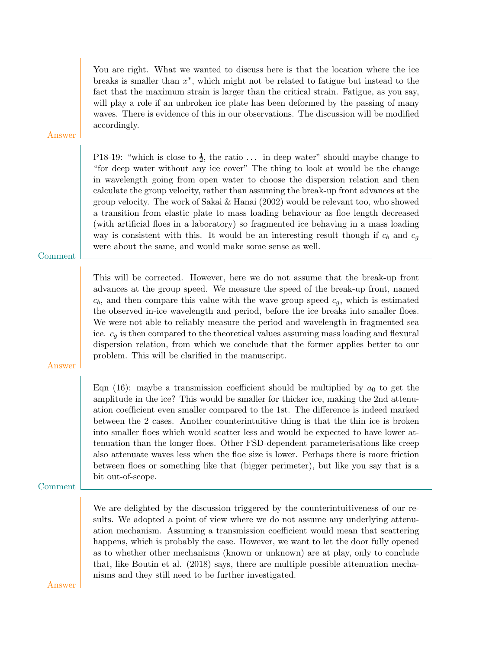You are right. What we wanted to discuss here is that the location where the ice breaks is smaller than  $x^*$ , which might not be related to fatigue but instead to the fact that the maximum strain is larger than the critical strain. Fatigue, as you say, will play a role if an unbroken ice plate has been deformed by the passing of many waves. There is evidence of this in our observations. The discussion will be modified accordingly.

Answer

P18-19: "which is close to  $\frac{1}{2}$ , the ratio ... in deep water" should maybe change to "for deep water without any ice cover" The thing to look at would be the change in wavelength going from open water to choose the dispersion relation and then calculate the group velocity, rather than assuming the break-up front advances at the group velocity. The work of Sakai  $&$  Hanai (2002) would be relevant too, who showed a transition from elastic plate to mass loading behaviour as floe length decreased (with artificial floes in a laboratory) so fragmented ice behaving in a mass loading way is consistent with this. It would be an interesting result though if  $c_b$  and  $c_g$ were about the same, and would make some sense as well.

Comment

This will be corrected. However, here we do not assume that the break-up front advances at the group speed. We measure the speed of the break-up front, named  $c_b$ , and then compare this value with the wave group speed  $c_g$ , which is estimated the observed in-ice wavelength and period, before the ice breaks into smaller floes. We were not able to reliably measure the period and wavelength in fragmented sea ice.  $c_g$  is then compared to the theoretical values assuming mass loading and flexural dispersion relation, from which we conclude that the former applies better to our problem. This will be clarified in the manuscript.

Answer

Eqn (16): maybe a transmission coefficient should be multiplied by  $a_0$  to get the amplitude in the ice? This would be smaller for thicker ice, making the 2nd attenuation coefficient even smaller compared to the 1st. The difference is indeed marked between the 2 cases. Another counterintuitive thing is that the thin ice is broken into smaller floes which would scatter less and would be expected to have lower attenuation than the longer floes. Other FSD-dependent parameterisations like creep also attenuate waves less when the floe size is lower. Perhaps there is more friction between floes or something like that (bigger perimeter), but like you say that is a bit out-of-scope.

Comment

We are delighted by the discussion triggered by the counterintuitiveness of our results. We adopted a point of view where we do not assume any underlying attenuation mechanism. Assuming a transmission coefficient would mean that scattering happens, which is probably the case. However, we want to let the door fully opened as to whether other mechanisms (known or unknown) are at play, only to conclude that, like Boutin et al. (2018) says, there are multiple possible attenuation mechanisms and they still need to be further investigated.

Answer